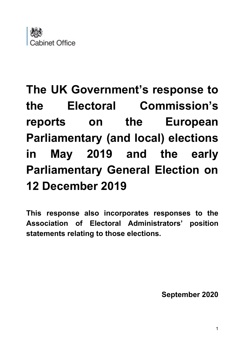

# **The UK Government's response to the Electoral Commission's reports on the European Parliamentary (and local) elections in May 2019 and the early Parliamentary General Election on 12 December 2019**

**This response also incorporates responses to the Association of Electoral Administrators' position statements relating to those elections.**

**September 2020**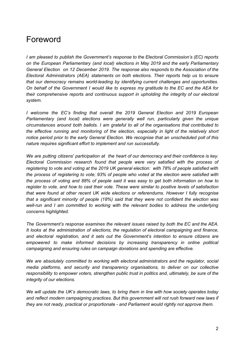### <span id="page-1-0"></span>Foreword

*I am pleased to publish the Government's response to the Electoral Commission's (EC) reports on the European Parliamentary (and local) elections in May 2019 and the early Parliamentary General Election on 12 December 2019. The response also responds to the Association of the Electoral Administrators (AEA) statements on both elections. Their reports help us to ensure that our democracy remains world-leading by identifying current challenges and opportunities. On behalf of the Government I would like to express my gratitude to the EC and the AEA for their comprehensive reports and continuous support in upholding the integrity of our electoral system.*

*I welcome the EC's finding that overall the 2019 General Election and 2019 European Parliamentary (and local) elections were generally well run, particularly given the unique circumstances around both ballots. I am grateful to all of the organisations that contributed to the effective running and monitoring of the election, especially in light of the relatively short notice period prior to the early General Election. We recognise that an unscheduled poll of this nature requires significant effort to implement and run successfully.*

*We are putting citizens' participation at the heart of our democracy and their confidence is key. Electoral Commission research found that people were very satisfied with the process of registering to vote and voting at the 2019 UK general election: with 78% of people satisfied with the process of registering to vote; 93% of people who voted at the election were satisfied with the process of voting and 88% of people said it was easy to get both information on how to register to vote, and how to cast their vote. These were similar to positive levels of satisfaction that were found at other recent UK wide elections or referendums. However I fully recognise that a significant minority of people (18%) said that they were not confident the election was well-run and I am committed to working with the relevant bodies to address the underlying concerns highlighted.*

*The Government's response examines the relevant issues raised by both the EC and the AEA. It looks at the administration of elections, the regulation of electoral campaigning and finance, and electoral registration, and it sets out the Government's intention to ensure citizens are empowered to make informed decisions by increasing transparency in online political campaigning and ensuring rules on campaign donations and spending are effective.*

*We are absolutely committed to working with electoral administrators and the regulator, social media platforms, and security and transparency organisations, to deliver on our collective responsibility to empower voters, strengthen public trust in politics and, ultimately, be sure of the integrity of our elections.*

*We will update the UK's democratic laws, to bring them in line with how society operates today and reflect modern campaigning practices. But this government will not rush forward new laws if they are not ready, practical or proportionate - and Parliament would rightly not approve them.*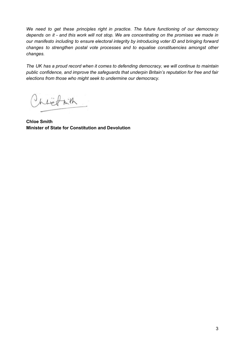*We need to get these principles right in practice. The future functioning of our democracy* depends on it - and this work will not stop. We are concentrating on the promises we made in *our manifesto including to ensure electoral integrity by introducing voter ID and bringing forward changes to strengthen postal vote processes and to equalise constituencies amongst other changes.*

*The UK has a proud record when it comes to defending democracy, we will continue to maintain public confidence, and improve the safeguards that underpin Britain's reputation for free and fair elections from those who might seek to undermine our democracy.*

hlighth

**Chloe Smith Minister of State for Constitution and Devolution**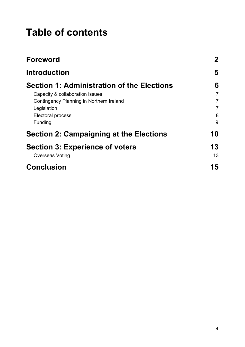## **Table of contents**

| <b>Foreword</b>                            | $\mathbf{2}$   |
|--------------------------------------------|----------------|
| <b>Introduction</b>                        | 5              |
| Section 1: Administration of the Elections | 6              |
| Capacity & collaboration issues            | $\overline{7}$ |
| Contingency Planning in Northern Ireland   | $\overline{7}$ |
| Legislation                                | $\overline{7}$ |
| Electoral process                          | 8              |
| Funding                                    | 9              |
| Section 2: Campaigning at the Elections    | 10             |
| <b>Section 3: Experience of voters</b>     | 13             |
| Overseas Voting                            | 13             |
| <b>Conclusion</b>                          | 15             |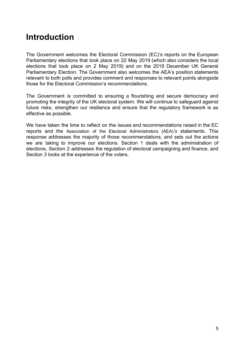### <span id="page-4-0"></span>**Introduction**

The Government welcomes the Electoral Commission (EC)'s reports on the European Parliamentary elections that took place on 22 May 2019 (which also considers the local elections that took place on 2 May 2019) and on the 2019 December UK General Parliamentary Election. The Government also welcomes the AEA's position statements relevant to both polls and provides comment and responses to relevant points alongside those for the Electoral Commission's recommendations.

The Government is committed to ensuring a flourishing and secure democracy and promoting the integrity of the UK electoral system. We will continue to safeguard against future risks, strengthen our resilience and ensure that the regulatory framework is as effective as possible.

We have taken the time to reflect on the issues and recommendations raised in the EC reports and the Association of the Electoral Administrators (AEA)*'s* statements. This response addresses the majority of those recommendations, and sets out the actions we are taking to improve our elections. Section 1 deals with the administration of elections, Section 2 addresses the regulation of electoral campaigning and finance, and Section 3 looks at the experience of the voters.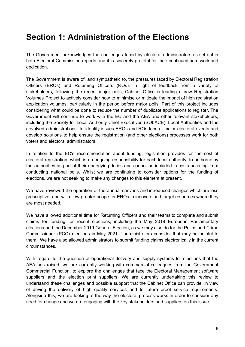### <span id="page-5-0"></span>**Section 1: Administration of the Elections**

The Government acknowledges the challenges faced by electoral administrators as set out in both Electoral Commission reports and it is sincerely grateful for their continued hard work and dedication.

The Government is aware of, and sympathetic to, the pressures faced by Electoral Registration Officers (EROs) and Returning Officers (ROs). In light of feedback from a variety of stakeholders, following the recent major polls, Cabinet Office is leading a new Registration Volumes Project to actively consider how to minimise or mitigate the impact of high registration application volumes, particularly in the period before major polls. Part of this project includes considering what could be done to reduce the number of duplicate applications to register. The Government will continue to work with the EC and the AEA and other relevant stakeholders, including the Society for Local Authority Chief Executives (SOLACE), Local Authorities and the devolved administrations, to identify issues EROs and ROs face at major electoral events and develop solutions to help ensure the registration (and other elections) processes work for both voters and electoral administrators.

In relation to the EC's recommendation about funding, legislation provides for the cost of electoral registration, which is an ongoing responsibility for each local authority, to be borne by the authorities as part of their underlying duties and cannot be included in costs accruing from conducting national polls. Whilst we are continuing to consider options for the funding of elections, we are not seeking to make any changes to this element at present.

We have reviewed the operation of the annual canvass and introduced changes which are less prescriptive, and will allow greater scope for EROs to innovate and target resources where they are most needed.

We have allowed additional time for Returning Officers and their teams to complete and submit claims for funding for recent elections, including the May 2019 European Parliamentary elections and the December 2019 General Election, as we may also do for the Police and Crime Commissioner (PCC) elections in May 2021 if administrators consider that may be helpful to them. We have also allowed administrators to submit funding claims electronically in the current circumstances.

With regard to the question of operational delivery and supply systems for elections that the AEA has raised, we are currently working with commercial colleagues from the Government Commercial Function, to explore the challenges that face the Electoral Management software suppliers and the election print suppliers. We are currently undertaking this review to understand these challenges and possible support that the Cabinet Office can provide, in view of driving the delivery of high quality services and to future proof service requirements. Alongside this, we are looking at the way the electoral process works in order to consider any need for change and we are engaging with the key stakeholders and suppliers on this issue.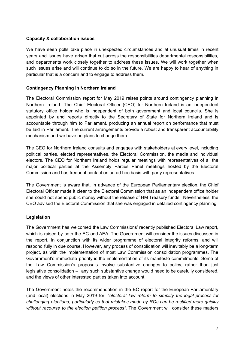#### <span id="page-6-0"></span>**Capacity & collaboration issues**

We have seen polls take place in unexpected circumstances and at unusual times in recent years and issues have arisen that cut across the responsibilities departmental responsibilities, and departments work closely together to address these issues. We will work together when such issues arise and will continue to do so in the future. We are happy to hear of anything in particular that is a concern and to engage to address them.

#### <span id="page-6-1"></span>**Contingency Planning in Northern Ireland**

The Electoral Commission report for May 2019 raises points around contingency planning in Northern Ireland. The Chief Electoral Officer (CEO) for Northern Ireland is an independent statutory office holder who is independent of both government and local councils. She is appointed by and reports directly to the Secretary of State for Northern Ireland and is accountable through him to Parliament, producing an annual report on performance that must be laid in Parliament. The current arrangements provide a robust and transparent accountability mechanism and we have no plans to change them.

The CEO for Northern Ireland consults and engages with stakeholders at every level, including political parties, elected representatives, the Electoral Commission, the media and individual electors. The CEO for Northern Ireland holds regular meetings with representatives of all the major political parties at the Assembly Parties Panel meetings hosted by the Electoral Commission and has frequent contact on an ad hoc basis with party representatives.

The Government is aware that, in advance of the European Parliamentary election, the Chief Electoral Officer made it clear to the Electoral Commission that as an independent office holder she could not spend public money without the release of HM Treasury funds. Nevertheless, the CEO advised the Electoral Commission that she was engaged in detailed contingency planning.

#### <span id="page-6-2"></span>**Legislation**

The Government has welcomed the Law Commissions' recently published Electoral Law report, which is raised by both the EC and AEA. The Government will consider the issues discussed in the report, in conjunction with its wider programme of electoral integrity reforms, and will respond fully in due course. However, any process of consolidation will inevitably be a long-term project, as with the implementation of most Law Commission consolidation programmes. The Government's immediate priority is the implementation of its manifesto commitments. Some of the Law Commission's proposals involve substantive changes to policy, rather than just legislative consolidation – any such substantive change would need to be carefully considered, and the views of other interested parties taken into account.

The Government notes the recommendation in the EC report for the European Parliamentary (and local) elections in May 2019 for: "*electoral law reform to simplify the legal process for challenging elections, particularly so that mistakes made by ROs can be rectified more quickly without recourse to the election petition process"*. The Government will consider these matters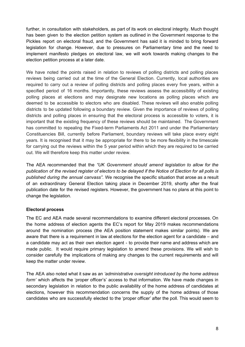further, in consultation with stakeholders, as part of its work on electoral integrity. Much thought has been given to the election petition system as outlined in the Government response to the Pickles report on electoral fraud, and the Government has said it is minded to bring forward legislation for change. However, due to pressures on Parliamentary time and the need to implement manifesto pledges on electoral law, we will work towards making changes to the election petition process at a later date.

We have noted the points raised in relation to reviews of polling districts and polling places reviews being carried out at the time of the General Election. Currently, local authorities are required to carry out a review of polling districts and polling places every five years, within a specified period of 16 months. Importantly, these reviews assess the accessibility of existing polling places at elections and may designate new locations as polling places which are deemed to be accessible to electors who are disabled. These reviews will also enable polling districts to be updated following a boundary review. Given the importance of reviews of polling districts and polling places in ensuring that the electoral process is accessible to voters, it is important that the existing frequency of these reviews should be maintained. The Government has committed to repealing the Fixed-term Parliaments Act 2011 and under the Parliamentary Constituencies Bill, currently before Parliament, boundary reviews will take place every eight years. It is recognised that it may be appropriate for there to be more flexibility in the timescale for carrying out the reviews within the 5 year period within which they are required to be carried out. We will therefore keep this matter under review.

The AEA recommended that the *"UK Government should amend legislation to allow for the* publication of the revised register of electors to be delayed if the Notice of Election for all polls is *published during the annual canvass"*. We recognise the specific situation that arose as a result of an extraordinary General Election taking place in December 2019, shortly after the final publication date for the revised registers. However, the government has no plans at this point to change the legislation.

#### <span id="page-7-0"></span>**Electoral process**

The EC and AEA made several recommendations to examine different electoral processes. On the home address of election agents the EC's report for May 2019 makes recommendations around the nomination process (the AEA position statement makes similar points). We are aware that there is a requirement in law at elections for the election agent for a candidate – and a candidate may act as their own election agent - to provide their name and address which are made public. It would require primary legislation to amend these provisions. We will wish to consider carefully the implications of making any changes to the current requirements and will keep the matter under review.

The AEA also noted what it saw as an *'administrative oversight introduced by the home address form'* which affects the 'proper officer's' access to that information. We have made changes in secondary legislation in relation to the public availability of the home address of candidates at elections, however this recommendation concerns the supply of the home address of those candidates who are successfully elected to the 'proper officer' after the poll. This would seem to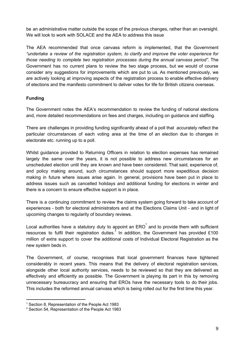be an administrative matter outside the scope of the previous changes, rather than an oversight. We will look to work with SOLACE and the AEA to address this issue

The AEA recommended that once canvass reform is implemented, that the Government *"undertake a review of the registration system, to clarify and improve the voter experience for those needing to complete two registration processes during the annual canvass period"*. The Government has no current plans to review the two stage process, but we would of course consider any suggestions for improvements which are put to us. As mentioned previously, we are actively looking at improving aspects of the registration process to enable effective delivery of elections and the manifesto commitment to deliver votes for life for British citizens overseas.

#### <span id="page-8-0"></span>**Funding**

The Government notes the AEA's recommendation to review the funding of national elections and, more detailed recommendations on fees and charges, including on guidance and staffing.

There are challenges in providing funding significantly ahead of a poll that accurately reflect the particular circumstances of each voting area at the time of an election due to changes in electorate etc. running up to a poll.

Whilst guidance provided to Returning Officers in relation to election expenses has remained largely the same over the years, it is not possible to address new circumstances for an unscheduled election until they are known and have been considered. That said, experience of, and policy making around, such circumstances should support more expeditious decision making in future where issues arise again. In general, provisions have been put in place to address issues such as cancelled holidays and additional funding for elections in winter and there is a concern to ensure effective support is in place.

There is a continuing commitment to review the claims system going forward to take account of experiences - both for electoral administrators and at the Elections Claims Unit - and in light of upcoming changes to regularity of boundary reviews.

Local authorities have a statutory duty to appoint an ERO<sup>1</sup> and to provide them with sufficient resources to fulfil their registration duties. In addition, the Government has provided £100 million of extra support to cover the additional costs of Individual Electoral Registration as the new system beds in.

The Government, of course, recognises that local government finances have tightened considerably in recent years. This means that the delivery of electoral registration services, alongside other local authority services, needs to be reviewed so that they are delivered as effectively and efficiently as possible. The Government is playing its part in this by removing unnecessary bureaucracy and ensuring that EROs have the necessary tools to do their jobs. This includes the reformed annual canvass which is being rolled out for the first time this year.

<sup>&</sup>lt;sup>1</sup> Section 8, Representation of the People Act 1983

<sup>2</sup> Section 54, Representation of the People Act 1983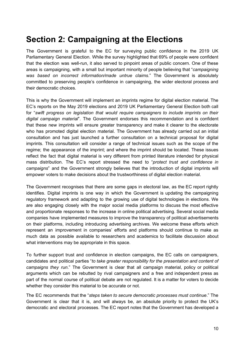### <span id="page-9-0"></span>**Section 2: Campaigning at the Elections**

The Government is grateful to the EC for surveying public confidence in the 2019 UK Parliamentary General Election. While the survey highlighted that 69% of people were confident that the election was well-run, it also served to pinpoint areas of public concern. One of these areas is campaigning, with a small but important minority of people believing that "*campaigning was based on incorrect information/made untrue claims*." The Government is absolutely committed to preserving people's confidence in campaigning, the wider electoral process and their democratic choices.

This is why the Government will implement an imprints regime for digital election material. The EC's reports on the May 2019 elections and 2019 UK Parliamentary General Election both call for "*swift progress on legislation that would require campaigners to include imprints on their digital campaign material*". The Government endorses this recommendation and is confident that these new imprints will ensure greater transparency and make it clearer to the electorate who has promoted digital election material. The Government has already carried out an initial consultation and has just launched a further consultation on a technical proposal for digital imprints. This consultation will consider a range of technical issues such as the scope of the regime; the appearance of the imprint; and where the imprint should be located. These issues reflect the fact that digital material is very different from printed literature intended for physical mass distribution. The EC's report stressed the need to "*protect trust and confidence in campaigns*" and the Government strongly believes that the introduction of digital imprints will empower voters to make decisions about the trustworthiness of digital election material.

The Government recognises that there are some gaps in electoral law, as the EC report rightly identifies. Digital imprints is one way in which the Government is updating the campaigning regulatory framework and adapting to the growing use of digital technologies in elections. We are also engaging closely with the major social media platforms to discuss the most effective and proportionate responses to the increase in online political advertising. Several social media companies have implemented measures to improve the transparency of political advertisements on their platforms, including introducing advertising archives. We welcome these efforts which represent an improvement in companies' efforts and platforms should continue to make as much data as possible available to researchers and academics to facilitate discussion about what interventions may be appropriate in this space.

To further support trust and confidence in election campaigns, the EC calls on campaigners, candidates and political parties "*to take greater responsibility for the presentation and content of campaigns they run*." The Government is clear that all campaign material, policy or political arguments which can be rebutted by rival campaigners and a free and independent press as part of the normal course of political debate are not regulated. It is a matter for voters to decide whether they consider this material to be accurate or not.

The EC recommends that the "*steps taken to secure democratic processes must continue*." The Government is clear that it is, and will always be, an absolute priority to protect the UK's democratic and electoral processes. The EC report notes that the Government has developed a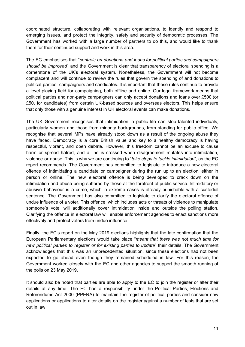coordinated structure, collaborating with relevant organisations, to identify and respond to emerging issues, and protect the integrity, safety and security of democratic processes. The Government has worked with a large number of partners to do this, and would like to thank them for their continued support and work in this area.

The EC emphasises that "*controls on donations and loans for political parties and campaigners should be improved*" and the Government is clear that transparency of electoral spending is a cornerstone of the UK's electoral system. Nonetheless, the Government will not become complacent and will continue to review the rules that govern the spending of and donations to political parties, campaigners and candidates. It is important that these rules continue to provide a level playing field for campaigning, both offline and online. Our legal framework means that political parties and non-party campaigners can only accept donations and loans over £500 (or £50, for candidates) from certain UK-based sources and overseas electors. This helps ensure that only those with a genuine interest in UK electoral events can make donations.

The UK Government recognises that intimidation in public life can stop talented individuals, particularly women and those from minority backgrounds, from standing for public office. We recognise that several MPs have already stood down as a result of the ongoing abuse they have faced. Democracy is a core British value and key to a healthy democracy is having respectful, vibrant, and open debate. However, this freedom cannot be an excuse to cause harm or spread hatred, and a line is crossed when disagreement mutates into intimidation, violence or abuse. This is why we are continuing to "*take steps to tackle intimidation*", as the EC report recommends. The Government has committed to legislate to introduce a new electoral offence of intimidating a candidate or campaigner during the run up to an election, either in person or online. The new electoral offence is being developed to crack down on the intimidation and abuse being suffered by those at the forefront of public service. Intimidatory or abusive behaviour is a crime, which in extreme cases is already punishable with a custodial sentence. The Government has also committed to legislate to clarify the electoral offence of undue influence of a voter. This offence, which includes acts or threats of violence to manipulate someone's vote, will additionally cover intimidation inside and outside the polling station. Clarifying the offence in electoral law will enable enforcement agencies to enact sanctions more effectively and protect voters from undue influence.

Finally, the EC's report on the May 2019 elections highlights that the late confirmation that the European Parliamentary elections would take place "*meant that there was not much time for new political parties to register or for existing parties to update*" their details. The Government acknowledges that this was an unprecedented situation, since these elections had not been expected to go ahead even though they remained scheduled in law. For this reason, the Government worked closely with the EC and other agencies to support the smooth running of the polls on 23 May 2019.

It should also be noted that parties are able to apply to the EC to join the register or alter their details at any time. The EC has a responsibility under the Political Parties, Elections and Referendums Act 2000 (PPERA) to maintain the register of political parties and consider new applications or applications to alter details on the register against a number of tests that are set out in law.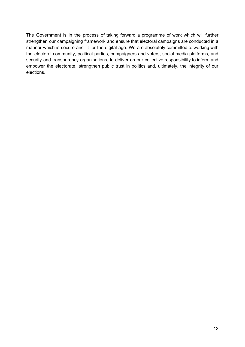The Government is in the process of taking forward a programme of work which will further strengthen our campaigning framework and ensure that electoral campaigns are conducted in a manner which is secure and fit for the digital age. We are absolutely committed to working with the electoral community, political parties, campaigners and voters, social media platforms, and security and transparency organisations, to deliver on our collective responsibility to inform and empower the electorate, strengthen public trust in politics and, ultimately, the integrity of our elections.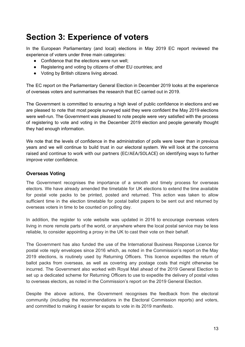### <span id="page-12-0"></span>**Section 3: Experience of voters**

In the European Parliamentary (and local) elections in May 2019 EC report reviewed the experience of voters under three main categories:

- Confidence that the elections were run well;
- Registering and voting by citizens of other EU countries; and
- Voting by British citizens living abroad.

The EC report on the Parliamentary General Election in December 2019 looks at the experience of overseas voters and summarises the research that EC carried out in 2019.

The Government is committed to ensuring a high level of public confidence in elections and we are pleased to note that most people surveyed said they were confident the May 2019 elections were well-run. The Government was pleased to note people were very satisfied with the process of registering to vote and voting in the December 2019 election and people generally thought they had enough information.

We note that the levels of confidence in the administration of polls were lower than in previous years and we will continue to build trust in our electoral system. We will look at the concerns raised and continue to work with our partners (EC/AEA/SOLACE) on identifying ways to further improve voter confidence.

#### <span id="page-12-1"></span>**Overseas Voting**

The Government recognises the importance of a smooth and timely process for overseas electors. We have already amended the timetable for UK elections to extend the time available for postal vote packs to be printed, posted and returned. This action was taken to allow sufficient time in the election timetable for postal ballot papers to be sent out and returned by overseas voters in time to be counted on polling day.

In addition, the register to vote website was updated in 2016 to encourage overseas voters living in more remote parts of the world, or anywhere where the local postal service may be less reliable, to consider appointing a proxy in the UK to cast their vote on their behalf.

The Government has also funded the use of the International Business Response Licence for postal vote reply envelopes since 2016 which, as noted in the Commission's report on the May 2019 elections, is routinely used by Returning Officers. This licence expedites the return of ballot packs from overseas, as well as covering any postage costs that might otherwise be incurred. The Government also worked with Royal Mail ahead of the 2019 General Election to set up a dedicated scheme for Returning Officers to use to expedite the delivery of postal votes to overseas electors, as noted in the Commission's report on the 2019 General Election.

Despite the above actions, the Government recognises the feedback from the electoral community (including the recommendations in the Electoral Commission reports) and voters, and committed to making it easier for expats to vote in its 2019 manifesto.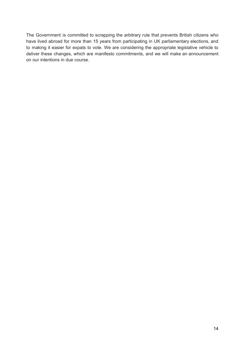The Government is committed to scrapping the arbitrary rule that prevents British citizens who have lived abroad for more than 15 years from participating in UK parliamentary elections, and to making it easier for expats to vote. We are considering the appropriate legislative vehicle to deliver these changes, which are manifesto commitments, and we will make an announcement on our intentions in due course.